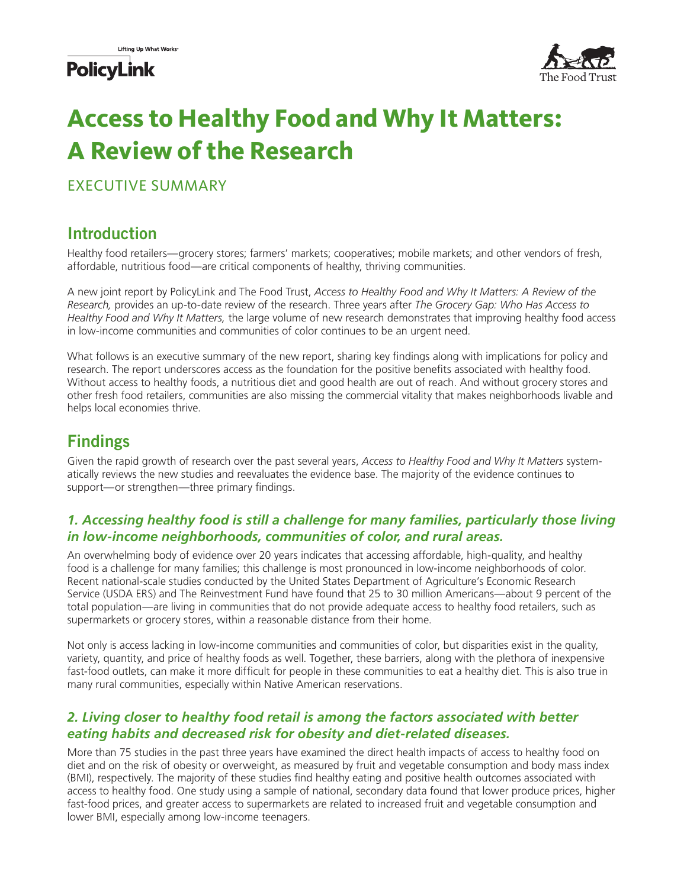## **PolicyLink**



# **Access to Healthy Food and Why It Matters: A Review of the Research**

EXECUTIVE SUMMARY

## Introduction

Healthy food retailers—grocery stores; farmers' markets; cooperatives; mobile markets; and other vendors of fresh, affordable, nutritious food—are critical components of healthy, thriving communities.

A new joint report by PolicyLink and The Food Trust, *Access to Healthy Food and Why It Matters: A Review of the Research,* provides an up-to-date review of the research. Three years after *The Grocery Gap: Who Has Access to Healthy Food and Why It Matters,* the large volume of new research demonstrates that improving healthy food access in low-income communities and communities of color continues to be an urgent need.

What follows is an executive summary of the new report, sharing key findings along with implications for policy and research. The report underscores access as the foundation for the positive benefits associated with healthy food. Without access to healthy foods, a nutritious diet and good health are out of reach. And without grocery stores and other fresh food retailers, communities are also missing the commercial vitality that makes neighborhoods livable and helps local economies thrive.

## Findings

Given the rapid growth of research over the past several years, *Access to Healthy Food and Why It Matters* systematically reviews the new studies and reevaluates the evidence base. The majority of the evidence continues to support—or strengthen—three primary findings.

#### *1. Accessing healthy food is still a challenge for many families, particularly those living in low-income neighborhoods, communities of color, and rural areas.*

An overwhelming body of evidence over 20 years indicates that accessing affordable, high-quality, and healthy food is a challenge for many families; this challenge is most pronounced in low-income neighborhoods of color. Recent national-scale studies conducted by the United States Department of Agriculture's Economic Research Service (USDA ERS) and The Reinvestment Fund have found that 25 to 30 million Americans—about 9 percent of the total population—are living in communities that do not provide adequate access to healthy food retailers, such as supermarkets or grocery stores, within a reasonable distance from their home.

Not only is access lacking in low-income communities and communities of color, but disparities exist in the quality, variety, quantity, and price of healthy foods as well. Together, these barriers, along with the plethora of inexpensive fast-food outlets, can make it more difficult for people in these communities to eat a healthy diet. This is also true in many rural communities, especially within Native American reservations.

#### *2. Living closer to healthy food retail is among the factors associated with better eating habits and decreased risk for obesity and diet-related diseases.*

More than 75 studies in the past three years have examined the direct health impacts of access to healthy food on diet and on the risk of obesity or overweight, as measured by fruit and vegetable consumption and body mass index (BMI), respectively. The majority of these studies find healthy eating and positive health outcomes associated with access to healthy food. One study using a sample of national, secondary data found that lower produce prices, higher fast-food prices, and greater access to supermarkets are related to increased fruit and vegetable consumption and lower BMI, especially among low-income teenagers.